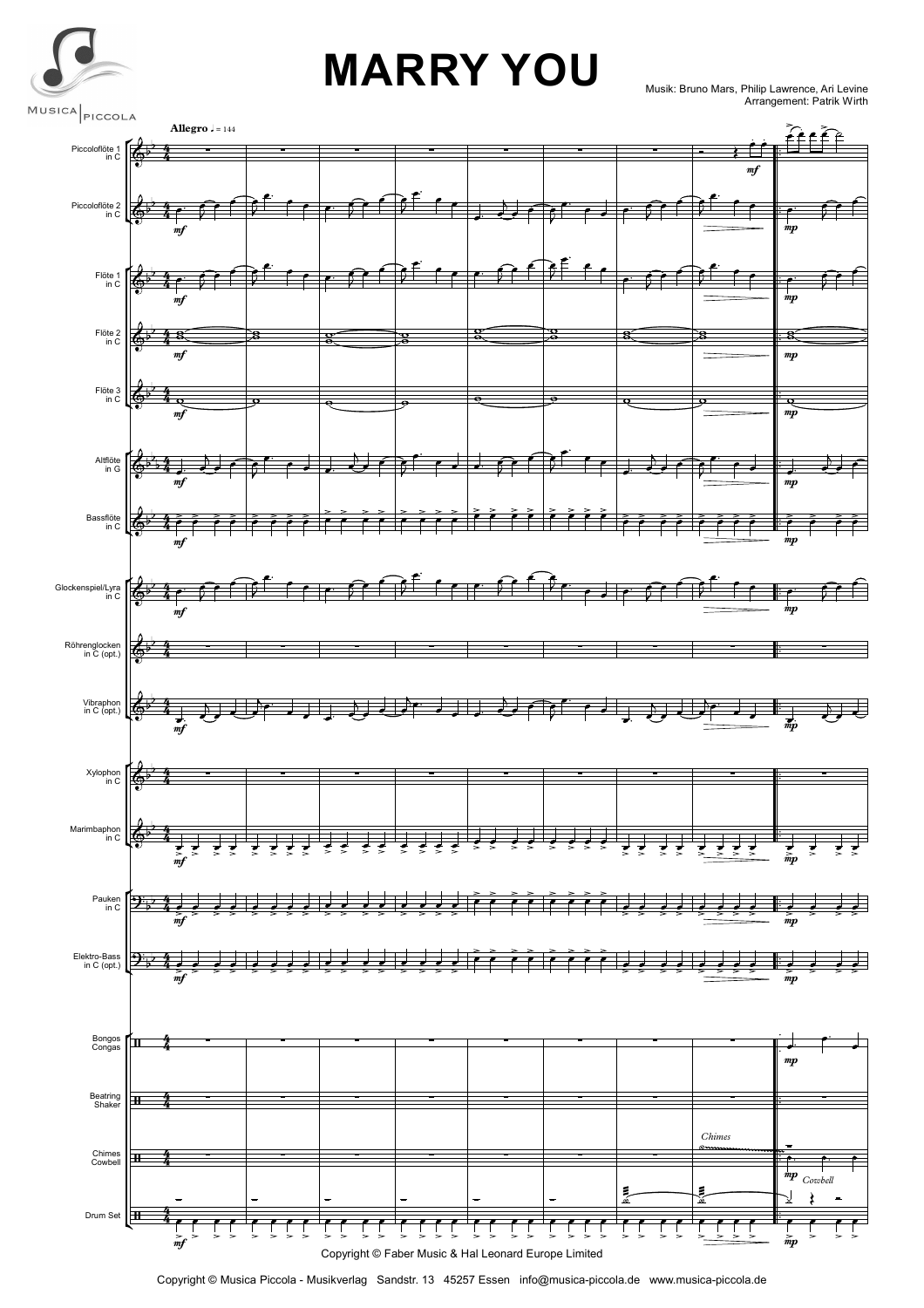

## **MARRY YOU**

Musik: Bruno Mars, Philip Lawrence, Ari Levine<br>Arrangement: Patrik Wirth

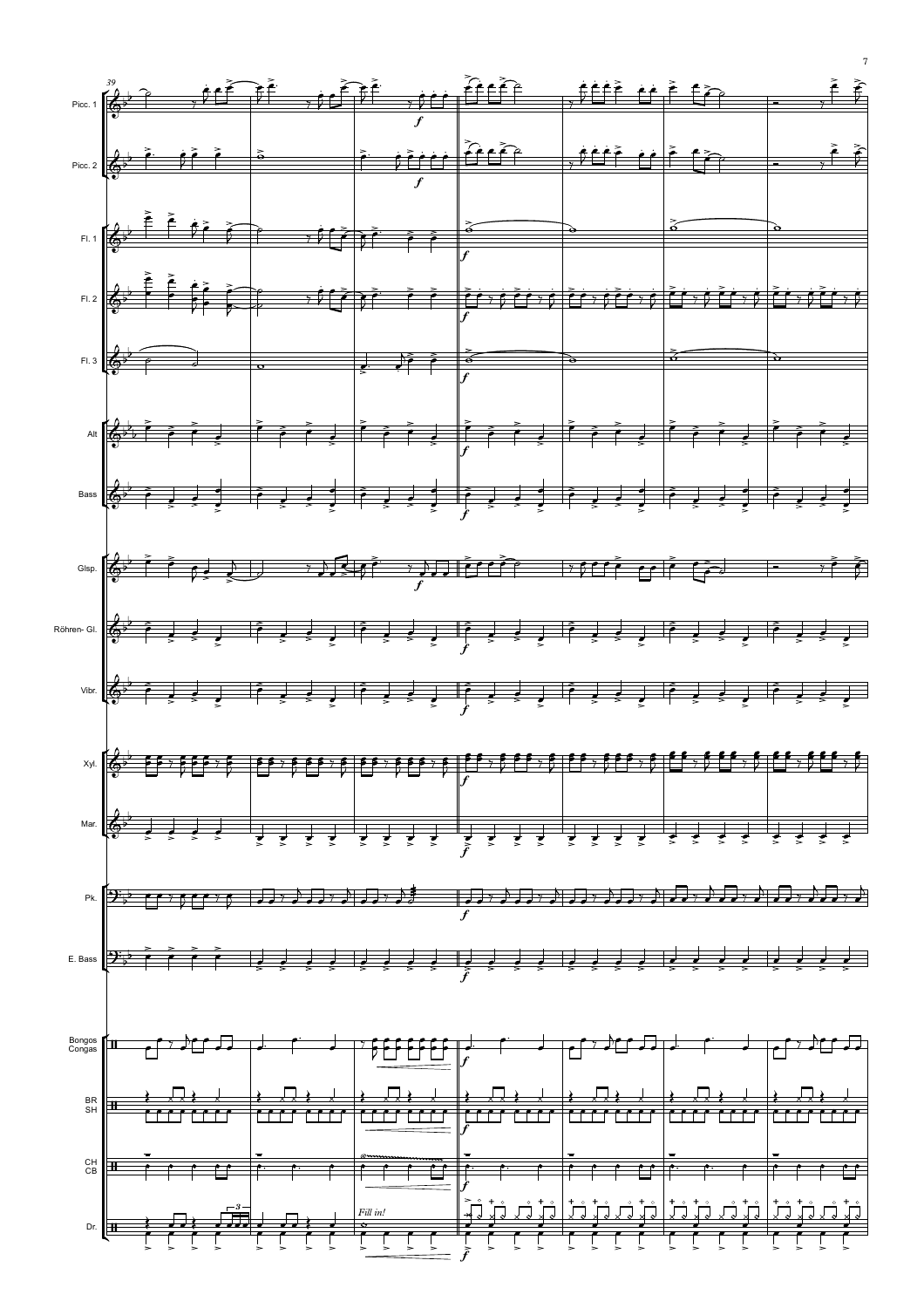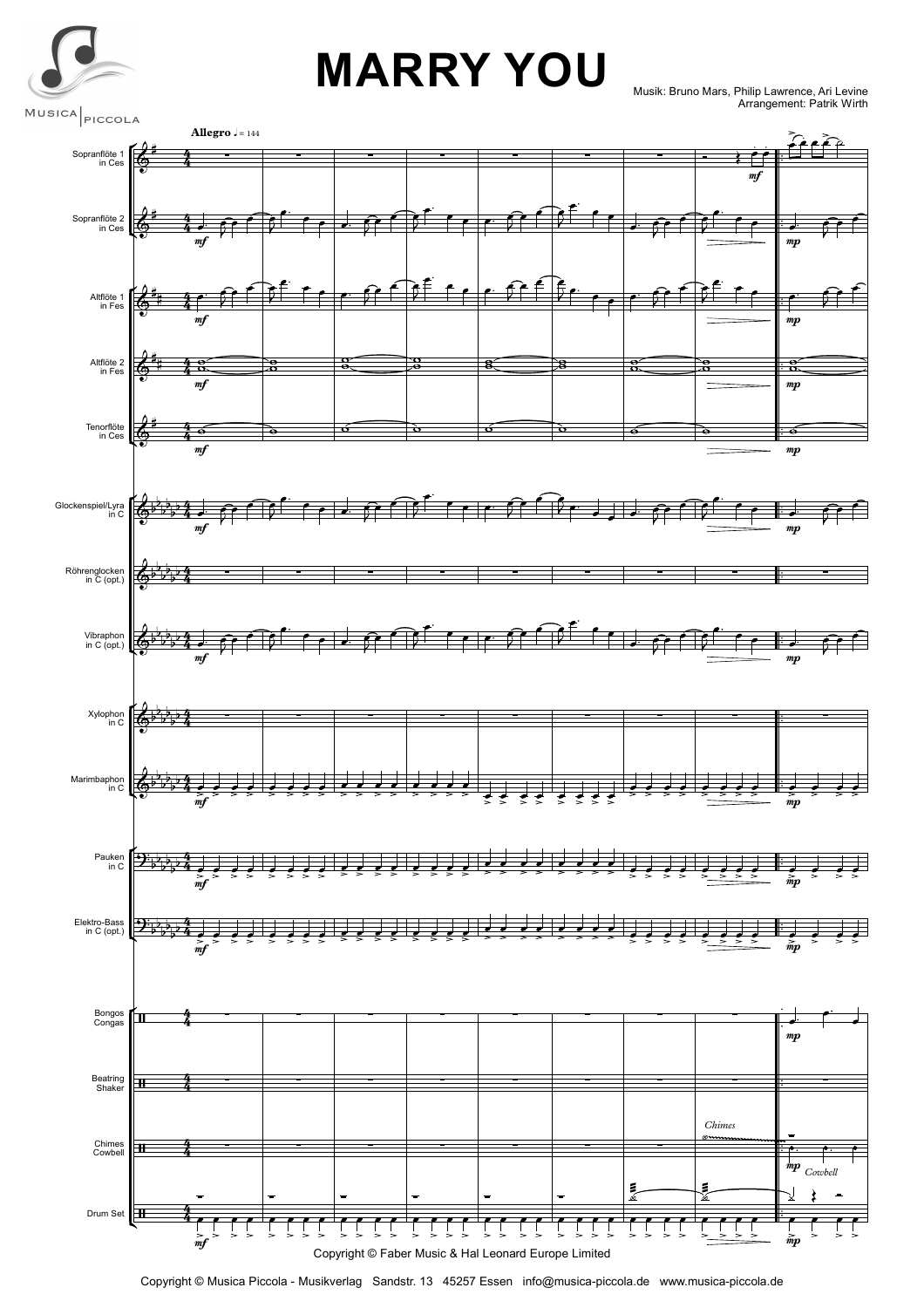

## **MARRY YOU** Musik: Bruno Mars, Philip Lawrence, Ari Levine

Arrangement: Patrik Wirth

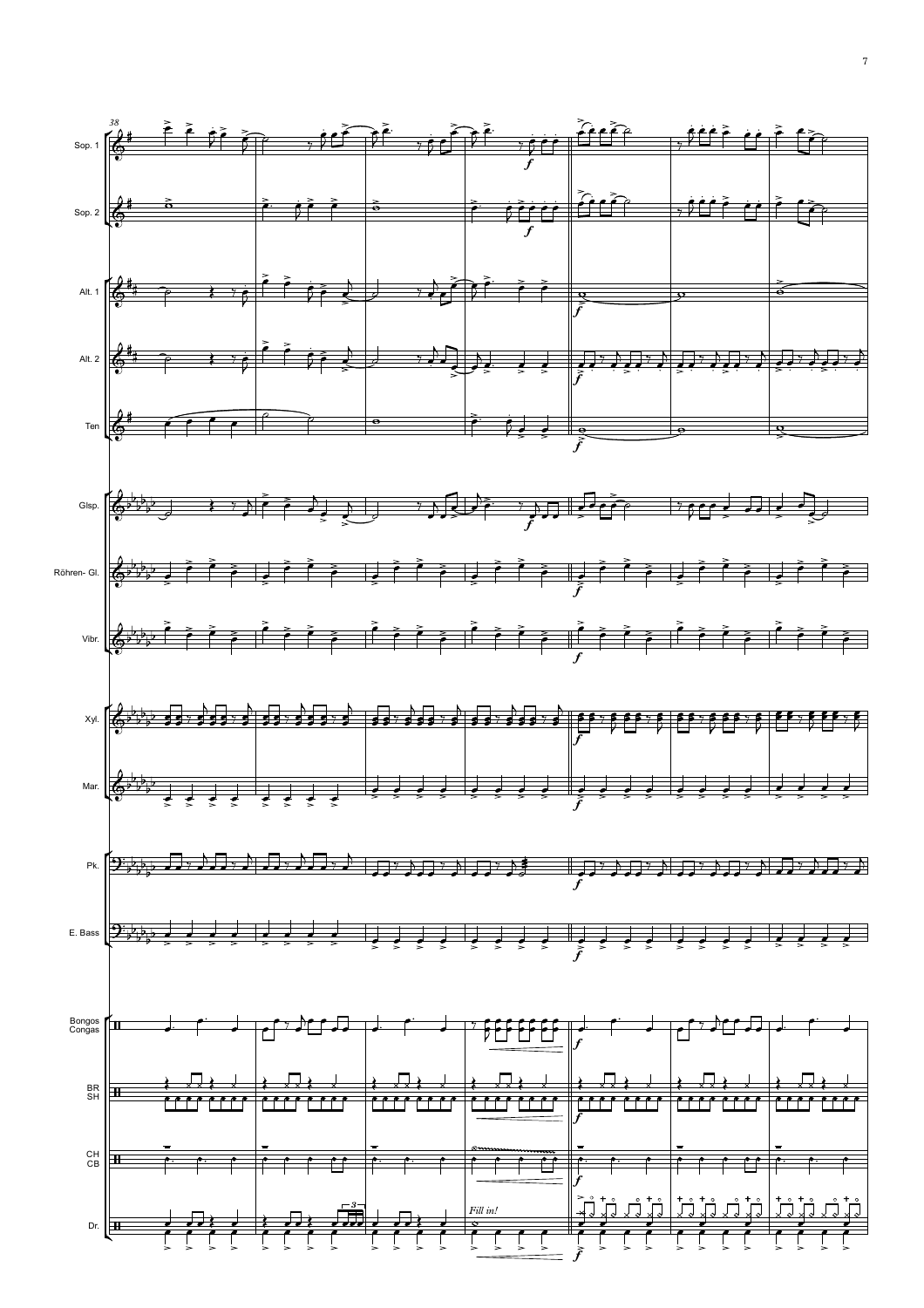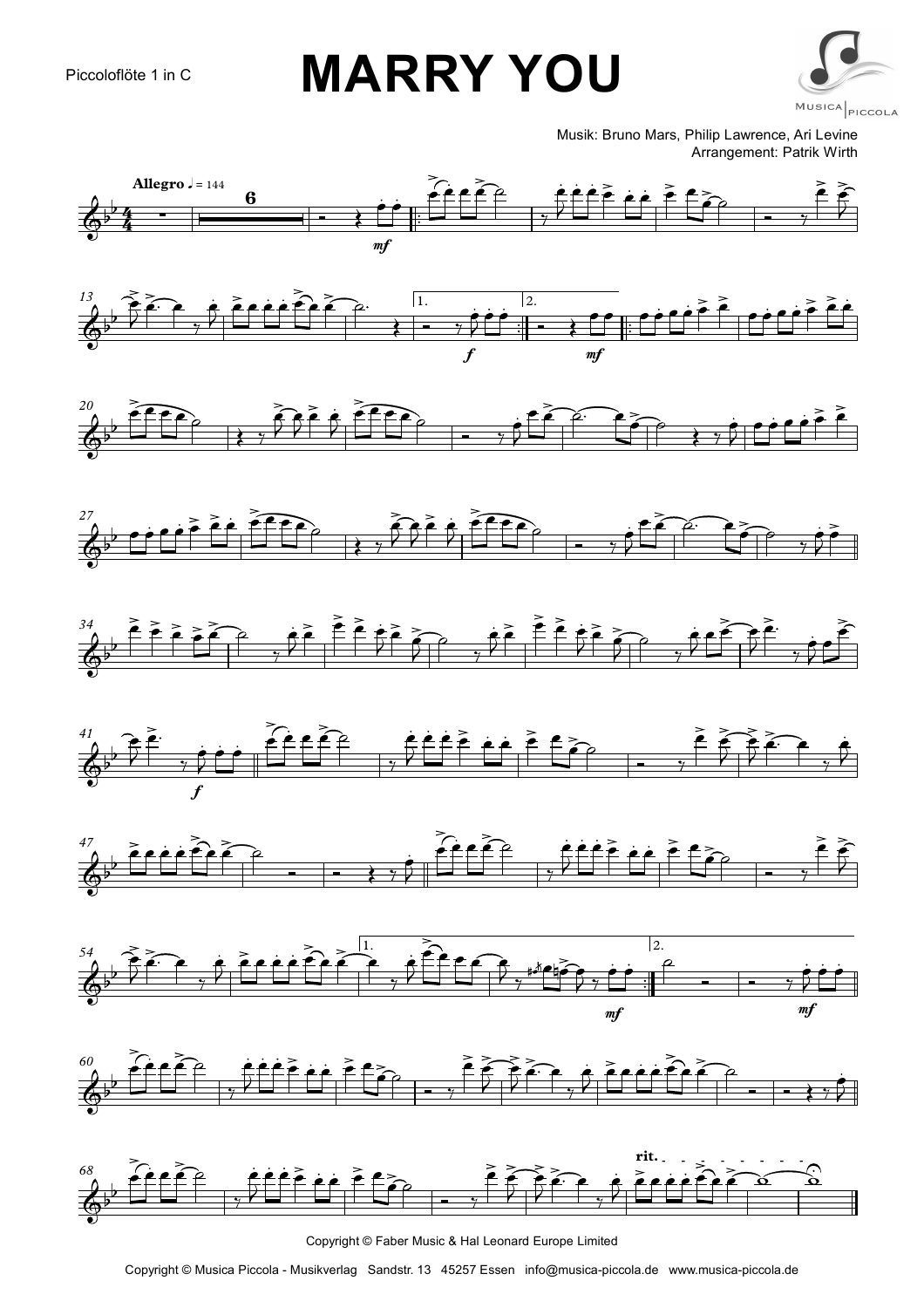## **MARRY YOU**



Musik: Bruno Mars, Philip Lawrence, Ari Levine Arrangement: Patrik Wirth



Copyright © Faber Music & Hal Leonard Europe Limited